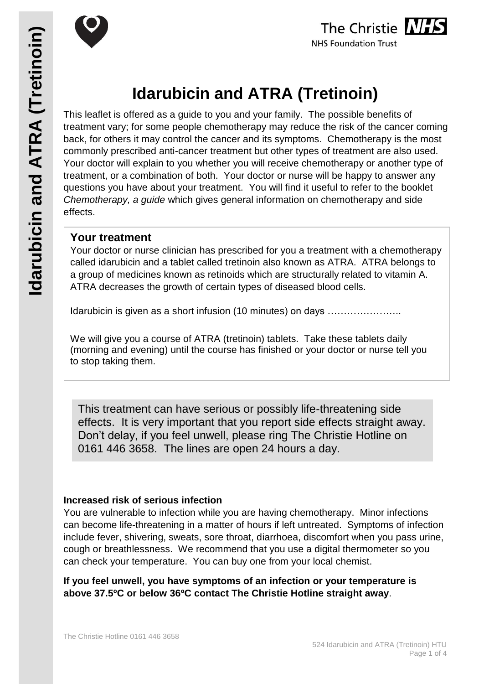



# **Idarubicin and ATRA (Tretinoin)**

This leaflet is offered as a guide to you and your family. The possible benefits of treatment vary; for some people chemotherapy may reduce the risk of the cancer coming back, for others it may control the cancer and its symptoms. Chemotherapy is the most commonly prescribed anti-cancer treatment but other types of treatment are also used. Your doctor will explain to you whether you will receive chemotherapy or another type of treatment, or a combination of both. Your doctor or nurse will be happy to answer any questions you have about your treatment. You will find it useful to refer to the booklet *Chemotherapy, a guide* which gives general information on chemotherapy and side effects.

#### **Your treatment**

Your doctor or nurse clinician has prescribed for you a treatment with a chemotherapy called idarubicin and a tablet called tretinoin also known as ATRA. ATRA belongs to a group of medicines known as retinoids which are structurally related to vitamin A. ATRA decreases the growth of certain types of diseased blood cells.

Idarubicin is given as a short infusion (10 minutes) on days .....................

We will give you a course of ATRA (tretinoin) tablets. Take these tablets daily (morning and evening) until the course has finished or your doctor or nurse tell you to stop taking them.

Don't delay, if you feel unwell, please ring The Christie Hotline on This treatment can have serious or possibly life-threatening side effects. It is very important that you report side effects straight away. 0161 446 3658. The lines are open 24 hours a day.

#### **Increased risk of serious infection**

You are vulnerable to infection while you are having chemotherapy. Minor infections can become life-threatening in a matter of hours if left untreated. Symptoms of infection include fever, shivering, sweats, sore throat, diarrhoea, discomfort when you pass urine, cough or breathlessness. We recommend that you use a digital thermometer so you can check your temperature. You can buy one from your local chemist.

**If you feel unwell, you have symptoms of an infection or your temperature is above 37.5ºC or below 36ºC contact The Christie Hotline straight away**.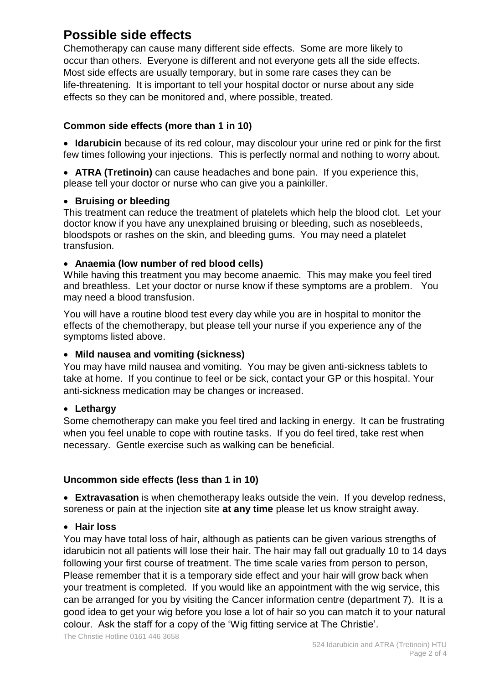## **Possible side effects**

Chemotherapy can cause many different side effects. Some are more likely to occur than others. Everyone is different and not everyone gets all the side effects. Most side effects are usually temporary, but in some rare cases they can be life-threatening. It is important to tell your hospital doctor or nurse about any side effects so they can be monitored and, where possible, treated.

#### **Common side effects (more than 1 in 10)**

 **Idarubicin** because of its red colour, may discolour your urine red or pink for the first few times following your injections. This is perfectly normal and nothing to worry about.

 **ATRA (Tretinoin)** can cause headaches and bone pain. If you experience this, please tell your doctor or nurse who can give you a painkiller.

#### **• Bruising or bleeding**

This treatment can reduce the treatment of platelets which help the blood clot. Let your doctor know if you have any unexplained bruising or bleeding, such as nosebleeds, bloodspots or rashes on the skin, and bleeding gums. You may need a platelet transfusion.

#### **Anaemia (low number of red blood cells)**

While having this treatment you may become anaemic. This may make you feel tired and breathless. Let your doctor or nurse know if these symptoms are a problem. You may need a blood transfusion.

You will have a routine blood test every day while you are in hospital to monitor the effects of the chemotherapy, but please tell your nurse if you experience any of the symptoms listed above.

#### **Mild nausea and vomiting (sickness)**

You may have mild nausea and vomiting. You may be given anti-sickness tablets to take at home. If you continue to feel or be sick, contact your GP or this hospital. Your anti-sickness medication may be changes or increased.

#### **Lethargy**

Some chemotherapy can make you feel tired and lacking in energy. It can be frustrating when you feel unable to cope with routine tasks. If you do feel tired, take rest when necessary. Gentle exercise such as walking can be beneficial.

#### **Uncommon side effects (less than 1 in 10)**

 **Extravasation** is when chemotherapy leaks outside the vein. If you develop redness, soreness or pain at the injection site **at any time** please let us know straight away.

#### **Hair loss**

You may have total loss of hair, although as patients can be given various strengths of idarubicin not all patients will lose their hair. The hair may fall out gradually 10 to 14 days following your first course of treatment. The time scale varies from person to person, Please remember that it is a temporary side effect and your hair will grow back when your treatment is completed. If you would like an appointment with the wig service, this can be arranged for you by visiting the Cancer information centre (department 7). It is a good idea to get your wig before you lose a lot of hair so you can match it to your natural colour. Ask the staff for a copy of the 'Wig fitting service at The Christie'.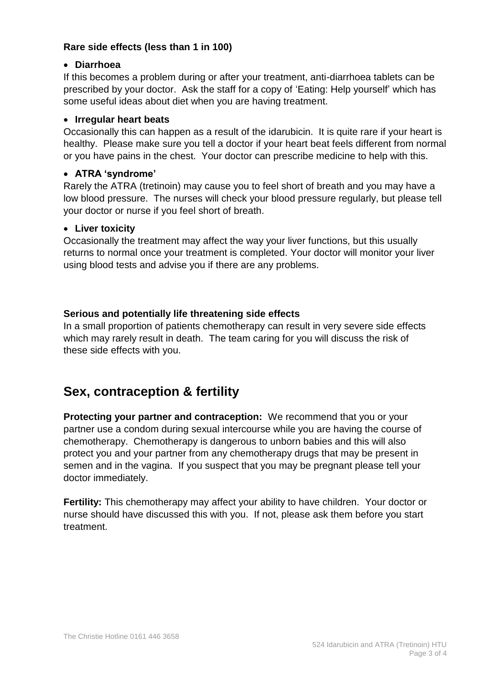#### **Rare side effects (less than 1 in 100)**

#### **Diarrhoea**

If this becomes a problem during or after your treatment, anti-diarrhoea tablets can be prescribed by your doctor. Ask the staff for a copy of 'Eating: Help yourself' which has some useful ideas about diet when you are having treatment.

#### **Irregular heart beats**

Occasionally this can happen as a result of the idarubicin. It is quite rare if your heart is healthy. Please make sure you tell a doctor if your heart beat feels different from normal or you have pains in the chest. Your doctor can prescribe medicine to help with this.

#### **ATRA 'syndrome'**

Rarely the ATRA (tretinoin) may cause you to feel short of breath and you may have a low blood pressure. The nurses will check your blood pressure regularly, but please tell your doctor or nurse if you feel short of breath.

#### **Liver toxicity**

Occasionally the treatment may affect the way your liver functions, but this usually returns to normal once your treatment is completed. Your doctor will monitor your liver using blood tests and advise you if there are any problems.

#### **Serious and potentially life threatening side effects**

In a small proportion of patients chemotherapy can result in very severe side effects which may rarely result in death. The team caring for you will discuss the risk of these side effects with you.

### **Sex, contraception & fertility**

**Protecting your partner and contraception:** We recommend that you or your partner use a condom during sexual intercourse while you are having the course of chemotherapy. Chemotherapy is dangerous to unborn babies and this will also protect you and your partner from any chemotherapy drugs that may be present in semen and in the vagina. If you suspect that you may be pregnant please tell your doctor immediately.

**Fertility:** This chemotherapy may affect your ability to have children. Your doctor or nurse should have discussed this with you. If not, please ask them before you start treatment.